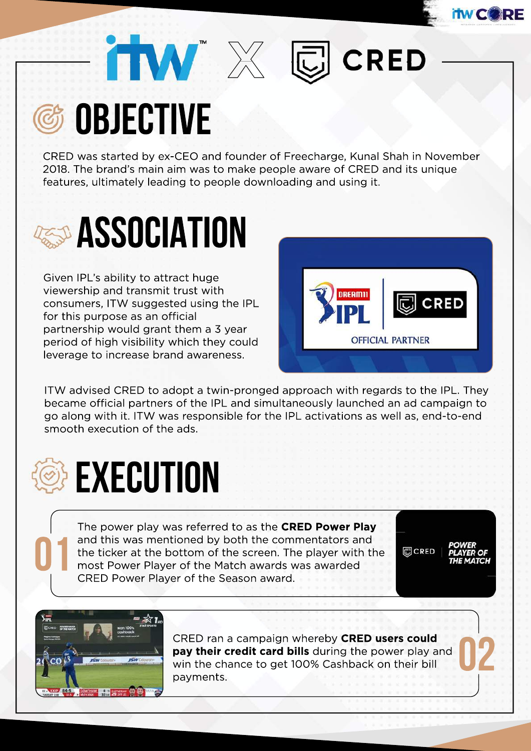



CRED was started by ex-CEO and founder of Freecharge, Kunal Shah in November 2018. The brand's main aim was to make people aware of CRED and its unique features, ultimately leading to people downloading and using it.

**X** 



Given IPL's ability to attract huge viewership and transmit trust with consumers, ITW suggested using the IPL for this purpose as an official partnership would grant them a 3 year period of high visibility which they could leverage to increase brand awareness.



**CRED** 

ITW advised CRED to adopt a twin-pronged approach with regards to the IPL. They became official partners of the IPL and simultaneously launched an ad campaign to go along with it. ITW was responsible for the IPL activations as well as, end-to-end smooth execution of the ads.



The power play was referred to as the **CRED Power Play** and this was mentioned by both the commentators and the ticker at the bottom of the screen. The player with the and this was mentioned by both the commentators are the ticker at the bottom of the screen. The player with most Power Player of the Match awards was awarded CRED Power Player of the Season award.

圆CRED



CRED ran a campaign whereby **CRED users could<br>
pay their credit card bills** during the power play and<br>
win the chance to get 100% Cashback on their bill<br>
payments. **pay their credit card bills** during the power play and win the chance to get 100% Cashback on their bill